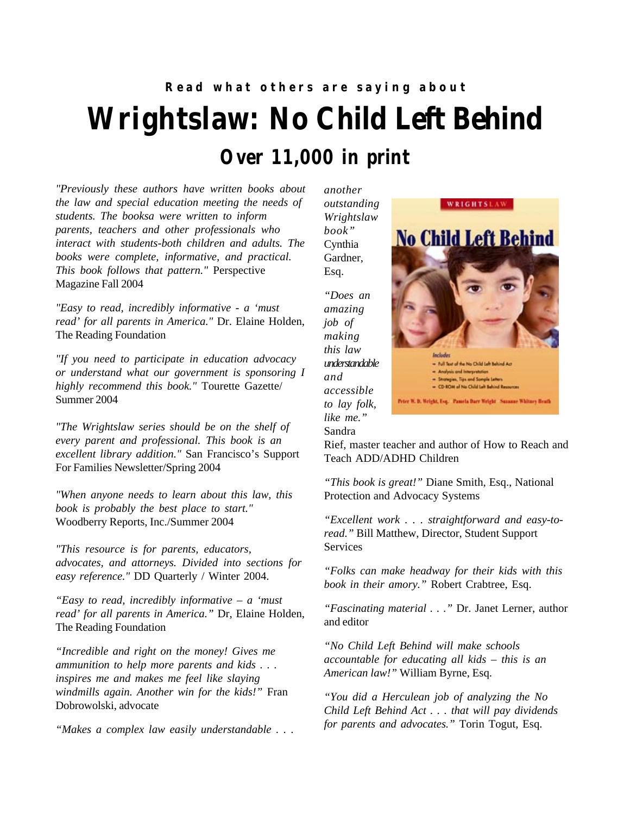## **Wrightslaw: No Child Left Behind Read what others are saying about Over 11,000 in print**

*"Previously these authors have written books about the law and special education meeting the needs of students. The booksa were written to inform parents, teachers and other professionals who interact with students-both children and adults. The books were complete, informative, and practical. This book follows that pattern."* Perspective Magazine Fall 2004

*"Easy to read, incredibly informative - a 'must read' for all parents in America."* Dr. Elaine Holden, The Reading Foundation

*"If you need to participate in education advocacy or understand what our government is sponsoring I highly recommend this book."* Tourette Gazette/ Summer 2004

*"The Wrightslaw series should be on the shelf of every parent and professional. This book is an excellent library addition."* San Francisco's Support For Families Newsletter/Spring 2004

*"When anyone needs to learn about this law, this book is probably the best place to start."* Woodberry Reports, Inc./Summer 2004

*"This resource is for parents, educators, advocates, and attorneys. Divided into sections for easy reference."* DD Quarterly / Winter 2004.

*"Easy to read, incredibly informative – a 'must read' for all parents in America."* Dr, Elaine Holden, The Reading Foundation

*"Incredible and right on the money! Gives me ammunition to help more parents and kids . . . inspires me and makes me feel like slaying windmills again. Another win for the kids!"* Fran Dobrowolski, advocate

*"Makes a complex law easily understandable . . .*

*another outstanding Wrightslaw book"* Cynthia Gardner, Esq.

> *"Does an amazing job of making this law understandable and accessible to lay folk, like me."* Sandra



Rief, master teacher and author of How to Reach and Teach ADD/ADHD Children

*"This book is great!"* Diane Smith, Esq., National Protection and Advocacy Systems

*"Excellent work . . . straightforward and easy-toread."* Bill Matthew, Director, Student Support Services

*"Folks can make headway for their kids with this book in their amory."* Robert Crabtree, Esq.

*"Fascinating material . . ."* Dr. Janet Lerner, author and editor

*"No Child Left Behind will make schools accountable for educating all kids – this is an American law!"* William Byrne, Esq.

*"You did a Herculean job of analyzing the No Child Left Behind Act . . . that will pay dividends for parents and advocates."* Torin Togut, Esq.